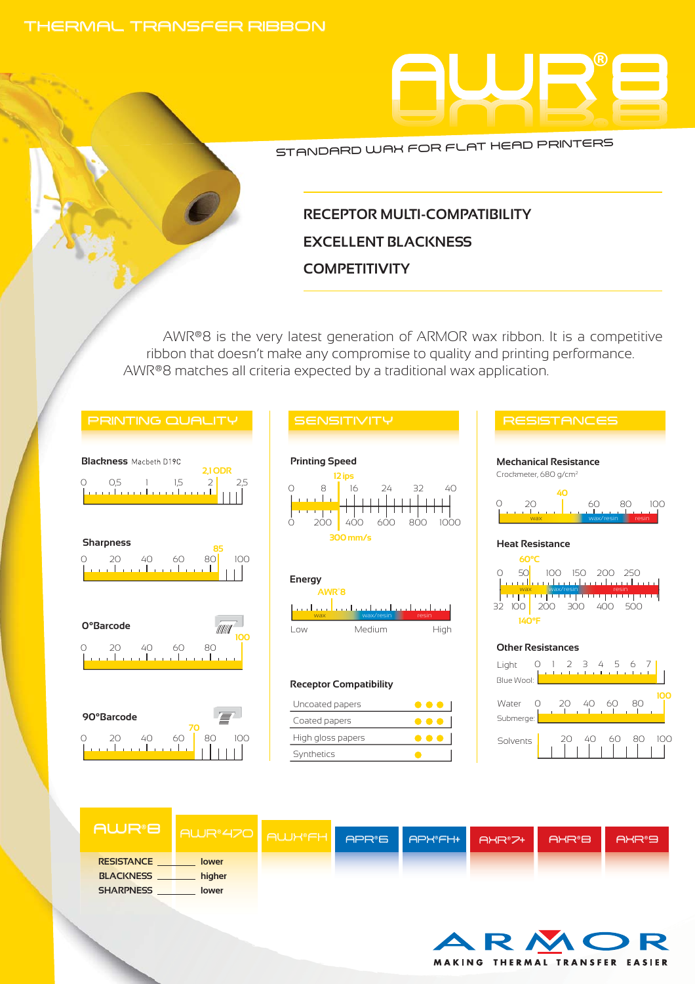#### THERMAL TRANSFER RIBBON



STANDARD WAX FOR FLAT HEAD PRINTERS

## **RECEPTOR MULTI-COMPATIBILITY EXCELLENT BLACKNESS COMPETITIVITY**

AWR®8 is the very latest generation of ARMOR wax ribbon. It is a competitive ribbon that doesn't make any compromise to quality and printing performance. AWR®8 matches all criteria expected by a traditional wax application.







#### **Receptor Compatibility**

| Uncoated papers   |     |
|-------------------|-----|
| Coated papers     |     |
| High gloss papers | . . |
| Synthetics        |     |



| <b>AWR®8</b>      | AWR <sup>2</sup> 470 <sup>1</sup> | <b>AWK®FH</b> | APR®6 | APHOFH+ | AXR®7+ | AXR <sup>®</sup> B | AXR®9 |
|-------------------|-----------------------------------|---------------|-------|---------|--------|--------------------|-------|
| <b>RESISTANCE</b> | lower                             |               |       |         |        |                    |       |
| <b>BLACKNESS</b>  | higher                            |               |       |         |        |                    |       |
| <b>SHARPNESS</b>  | lower                             |               |       |         |        |                    |       |



Solvents